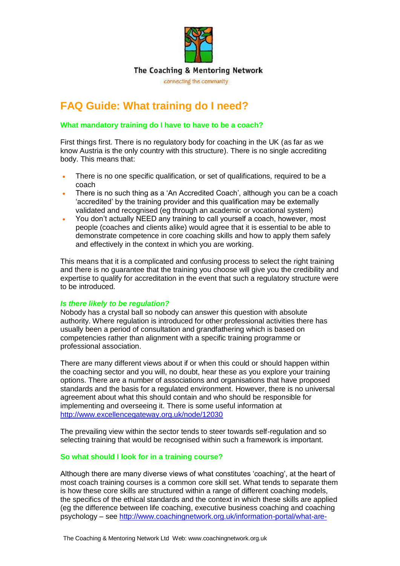

# **FAQ Guide: What training do I need?**

#### **What mandatory training do I have to have to be a coach?**

First things first. There is no regulatory body for coaching in the UK (as far as we know Austria is the only country with this structure). There is no single accrediting body. This means that:

- There is no one specific qualification, or set of qualifications, required to be a coach
- There is no such thing as a 'An Accredited Coach', although you can be a coach 'accredited' by the training provider and this qualification may be externally validated and recognised (eg through an academic or vocational system)
- You don't actually NEED any training to call yourself a coach, however, most people (coaches and clients alike) would agree that it is essential to be able to demonstrate competence in core coaching skills and how to apply them safely and effectively in the context in which you are working.

This means that it is a complicated and confusing process to select the right training and there is no guarantee that the training you choose will give you the credibility and expertise to qualify for accreditation in the event that such a regulatory structure were to be introduced.

#### *Is there likely to be regulation?*

Nobody has a crystal ball so nobody can answer this question with absolute authority. Where regulation is introduced for other professional activities there has usually been a period of consultation and grandfathering which is based on competencies rather than alignment with a specific training programme or professional association.

There are many different views about if or when this could or should happen within the coaching sector and you will, no doubt, hear these as you explore your training options. There are a number of associations and organisations that have proposed standards and the basis for a regulated environment. However, there is no universal agreement about what this should contain and who should be responsible for implementing and overseeing it. There is some useful information at <http://www.excellencegateway.org.uk/node/12030>

The prevailing view within the sector tends to steer towards self-regulation and so selecting training that would be recognised within such a framework is important.

#### **So what should I look for in a training course?**

Although there are many diverse views of what constitutes 'coaching', at the heart of most coach training courses is a common core skill set. What tends to separate them is how these core skills are structured within a range of different coaching models, the specifics of the ethical standards and the context in which these skills are applied (eg the difference between life coaching, executive business coaching and coaching psychology – see [http://www.coachingnetwork.org.uk/information-portal/what-are-](http://www.coachingnetwork.org.uk/information-portal/what-are-coaching-and-mentoring.aspx)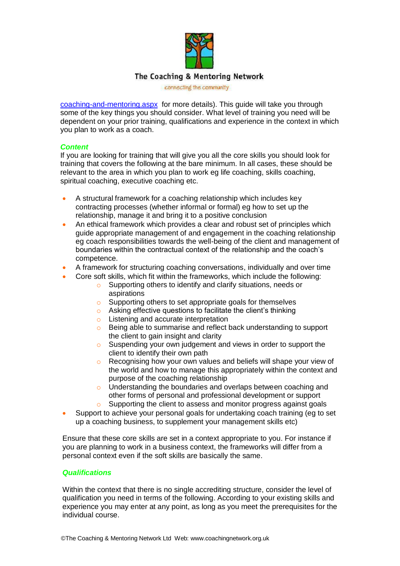

connecting the community

coaching-and-mentoring.aspx for more details). This guide will take you through some of the key things you should consider. What level of training you need will be dependent on your prior training, qualifications and experience in the context in which you plan to work as a coach.

#### *Content*

If you are looking for training that will give you all the core skills you should look for training that covers the following at the bare minimum. In all cases, these should be relevant to the area in which you plan to work eg life coaching, skills coaching, spiritual coaching, executive coaching etc.

- A structural framework for a coaching relationship which includes key contracting processes (whether informal or formal) eg how to set up the relationship, manage it and bring it to a positive conclusion
- An ethical framework which provides a clear and robust set of principles which guide appropriate management of and engagement in the coaching relationship eg coach responsibilities towards the well-being of the client and management of boundaries within the contractual context of the relationship and the coach's competence.
- A framework for structuring coaching conversations, individually and over time
- Core soft skills, which fit within the frameworks, which include the following:
	- o Supporting others to identify and clarify situations, needs or aspirations
	- o Supporting others to set appropriate goals for themselves
	- o Asking effective questions to facilitate the client's thinking
	- o Listening and accurate interpretation
	- o Being able to summarise and reflect back understanding to support the client to gain insight and clarity
	- o Suspending your own judgement and views in order to support the client to identify their own path
	- o Recognising how your own values and beliefs will shape your view of the world and how to manage this appropriately within the context and purpose of the coaching relationship
	- o Understanding the boundaries and overlaps between coaching and other forms of personal and professional development or support
	- o Supporting the client to assess and monitor progress against goals
- Support to achieve your personal goals for undertaking coach training (eg to set up a coaching business, to supplement your management skills etc)

Ensure that these core skills are set in a context appropriate to you. For instance if you are planning to work in a business context, the frameworks will differ from a personal context even if the soft skills are basically the same.

#### *Qualifications*

Within the context that there is no single accrediting structure, consider the level of qualification you need in terms of the following. According to your existing skills and experience you may enter at any point, as long as you meet the prerequisites for the individual course.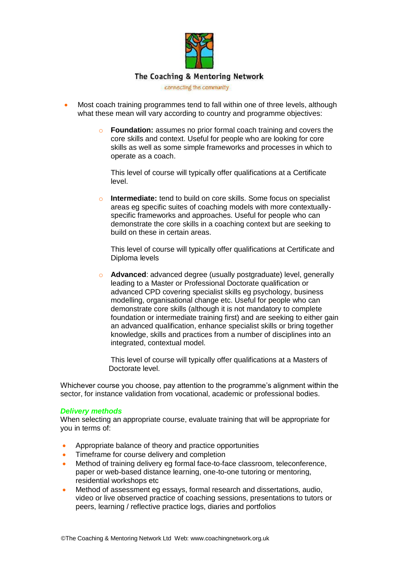

connecting the community

- Most coach training programmes tend to fall within one of three levels, although what these mean will vary according to country and programme objectives:
	- o **Foundation:** assumes no prior formal coach training and covers the core skills and context. Useful for people who are looking for core skills as well as some simple frameworks and processes in which to operate as a coach.

This level of course will typically offer qualifications at a Certificate level.

**Intermediate:** tend to build on core skills. Some focus on specialist areas eg specific suites of coaching models with more contextuallyspecific frameworks and approaches. Useful for people who can demonstrate the core skills in a coaching context but are seeking to build on these in certain areas.

This level of course will typically offer qualifications at Certificate and Diploma levels

o **Advanced**: advanced degree (usually postgraduate) level, generally leading to a Master or Professional Doctorate qualification or advanced CPD covering specialist skills eg psychology, business modelling, organisational change etc. Useful for people who can demonstrate core skills (although it is not mandatory to complete foundation or intermediate training first) and are seeking to either gain an advanced qualification, enhance specialist skills or bring together knowledge, skills and practices from a number of disciplines into an integrated, contextual model.

 This level of course will typically offer qualifications at a Masters of Doctorate level.

Whichever course you choose, pay attention to the programme's alignment within the sector, for instance validation from vocational, academic or professional bodies.

#### *Delivery methods*

When selecting an appropriate course, evaluate training that will be appropriate for you in terms of:

- Appropriate balance of theory and practice opportunities
- Timeframe for course delivery and completion
- Method of training delivery eg formal face-to-face classroom, teleconference, paper or web-based distance learning, one-to-one tutoring or mentoring, residential workshops etc
- Method of assessment eg essays, formal research and dissertations, audio, video or live observed practice of coaching sessions, presentations to tutors or peers, learning / reflective practice logs, diaries and portfolios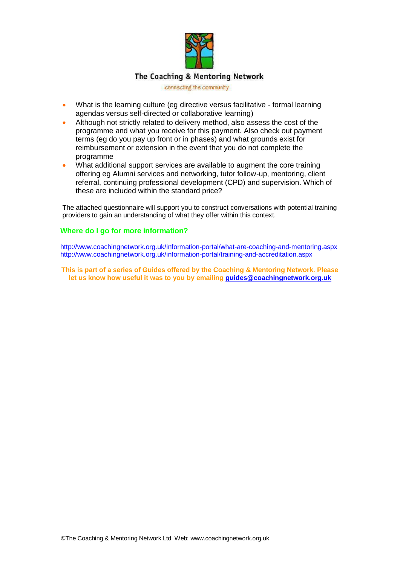

connecting the community

- What is the learning culture (eg directive versus facilitative formal learning agendas versus self-directed or collaborative learning)
- Although not strictly related to delivery method, also assess the cost of the programme and what you receive for this payment. Also check out payment terms (eg do you pay up front or in phases) and what grounds exist for reimbursement or extension in the event that you do not complete the programme
- What additional support services are available to augment the core training offering eg Alumni services and networking, tutor follow-up, mentoring, client referral, continuing professional development (CPD) and supervision. Which of these are included within the standard price?

The attached questionnaire will support you to construct conversations with potential training providers to gain an understanding of what they offer within this context.

#### **Where do I go for more information?**

<http://www.coachingnetwork.org.uk/information-portal/what-are-coaching-and-mentoring.aspx> <http://www.coachingnetwork.org.uk/information-portal/training-and-accreditation.aspx>

**This is part of a series of Guides offered by the Coaching & Mentoring Network. Please let us know how useful it was to you by emailing [guides@coachingnetwork.org.uk](mailto:guides@coachingnetwork.org.uk)**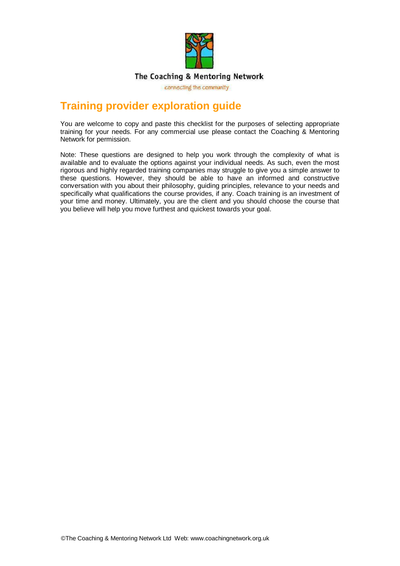

connecting the community

## **Training provider exploration guide**

You are welcome to copy and paste this checklist for the purposes of selecting appropriate training for your needs. For any commercial use please contact the Coaching & Mentoring Network for permission.

Note: These questions are designed to help you work through the complexity of what is available and to evaluate the options against your individual needs. As such, even the most rigorous and highly regarded training companies may struggle to give you a simple answer to these questions. However, they should be able to have an informed and constructive conversation with you about their philosophy, guiding principles, relevance to your needs and specifically what qualifications the course provides, if any. Coach training is an investment of your time and money. Ultimately, you are the client and you should choose the course that you believe will help you move furthest and quickest towards your goal.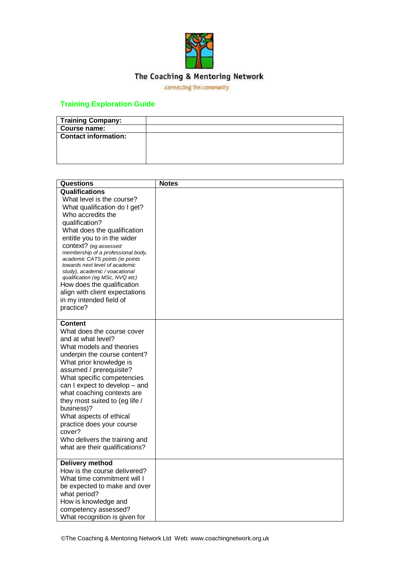

connecting the community

## **Training Exploration Guide**

| <b>Training Company:</b>    |  |
|-----------------------------|--|
| Course name:                |  |
| <b>Contact information:</b> |  |
|                             |  |
|                             |  |
|                             |  |

| <b>Questions</b>                                                                                                                                                                                                                                                                                                                                                                                                                                                                                         | <b>Notes</b> |
|----------------------------------------------------------------------------------------------------------------------------------------------------------------------------------------------------------------------------------------------------------------------------------------------------------------------------------------------------------------------------------------------------------------------------------------------------------------------------------------------------------|--------------|
| <b>Qualifications</b><br>What level is the course?<br>What qualification do I get?<br>Who accredits the<br>qualification?<br>What does the qualification<br>entitle you to in the wider<br>context? (eg assessed<br>membership of a professional body,<br>academic CATS points (ie points<br>towards next level of academic<br>study), academic / voacational<br>qualification (eg MSc, NVQ etc)<br>How does the qualification<br>align with client expectations<br>in my intended field of<br>practice? |              |
| Content<br>What does the course cover<br>and at what level?<br>What models and theories<br>underpin the course content?<br>What prior knowledge is<br>assumed / prerequisite?<br>What specific competencies<br>can I expect to develop - and<br>what coaching contexts are<br>they most suited to (eg life /<br>business)?<br>What aspects of ethical<br>practice does your course<br>cover?<br>Who delivers the training and<br>what are their qualifications?                                          |              |
| Delivery method<br>How is the course delivered?<br>What time commitment will I<br>be expected to make and over<br>what period?<br>How is knowledge and<br>competency assessed?<br>What recognition is given for                                                                                                                                                                                                                                                                                          |              |